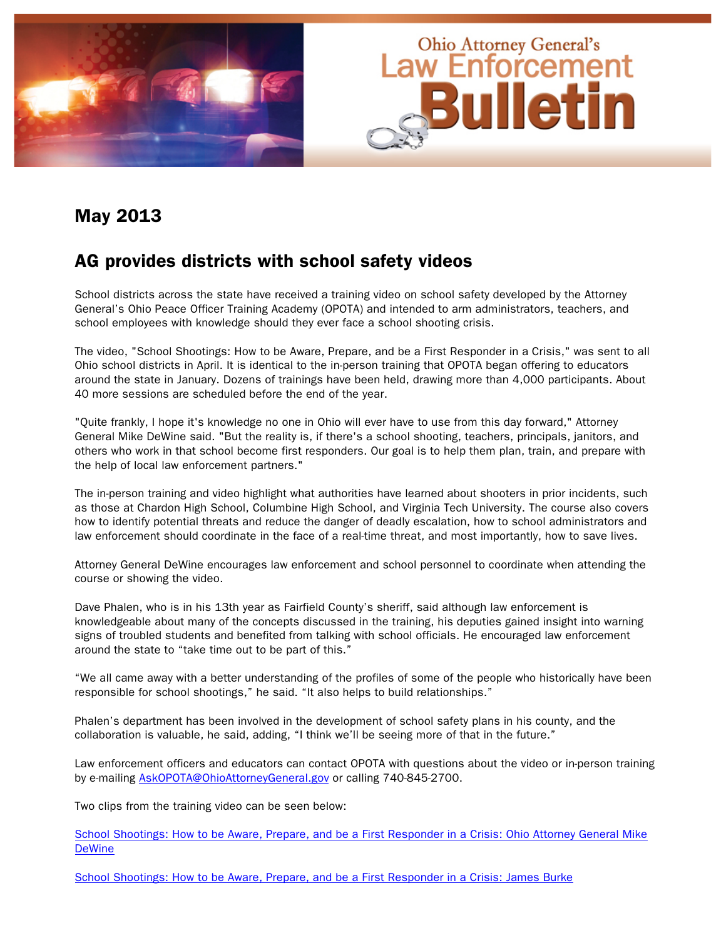

#### May 2013

#### AG provides districts with school safety videos

School districts across the state have received a training video on school safety developed by the Attorney General's Ohio Peace Officer Training Academy (OPOTA) and intended to arm administrators, teachers, and school employees with knowledge should they ever face a school shooting crisis.

The video, "School Shootings: How to be Aware, Prepare, and be a First Responder in a Crisis," was sent to all Ohio school districts in April. It is identical to the in-person training that OPOTA began offering to educators around the state in January. Dozens of trainings have been held, drawing more than 4,000 participants. About 40 more sessions are scheduled before the end of the year.

"Quite frankly, I hope it's knowledge no one in Ohio will ever have to use from this day forward," Attorney General Mike DeWine said. "But the reality is, if there's a school shooting, teachers, principals, janitors, and others who work in that school become first responders. Our goal is to help them plan, train, and prepare with the help of local law enforcement partners."

The in-person training and video highlight what authorities have learned about shooters in prior incidents, such as those at Chardon High School, Columbine High School, and Virginia Tech University. The course also covers how to identify potential threats and reduce the danger of deadly escalation, how to school administrators and law enforcement should coordinate in the face of a real-time threat, and most importantly, how to save lives.

Attorney General DeWine encourages law enforcement and school personnel to coordinate when attending the course or showing the video.

Dave Phalen, who is in his 13th year as Fairfield County's sheriff, said although law enforcement is knowledgeable about many of the concepts discussed in the training, his deputies gained insight into warning signs of troubled students and benefited from talking with school officials. He encouraged law enforcement around the state to "take time out to be part of this."

"We all came away with a better understanding of the profiles of some of the people who historically have been responsible for school shootings," he said. "It also helps to build relationships."

Phalen's department has been involved in the development of school safety plans in his county, and the collaboration is valuable, he said, adding, "I think we'll be seeing more of that in the future."

Law enforcement officers and educators can contact OPOTA with questions about the video or in-person training by e-mailing AskOPOTA@OhioAttorneyGeneral.gov or calling 740-845-2700.

Two clips from the training video can be seen below:

[School Shootings: How to be Aware, Prepare, and be a First Responder in a Crisis: Ohio Attorney General Mike](http://www.ohioattorneygeneral.gov/Media/Videos/School-Shootings-How-to-be-Aware-Prepare-and-b-%281%29)  **DeWine** 

[School Shootings: How to be Aware, Prepare, and be a First Responder in a Crisis: James Burke](http://www.ohioattorneygeneral.gov/Media/Videos/School-Shootings-How-to-be-Aware-Prepare-and-be-a)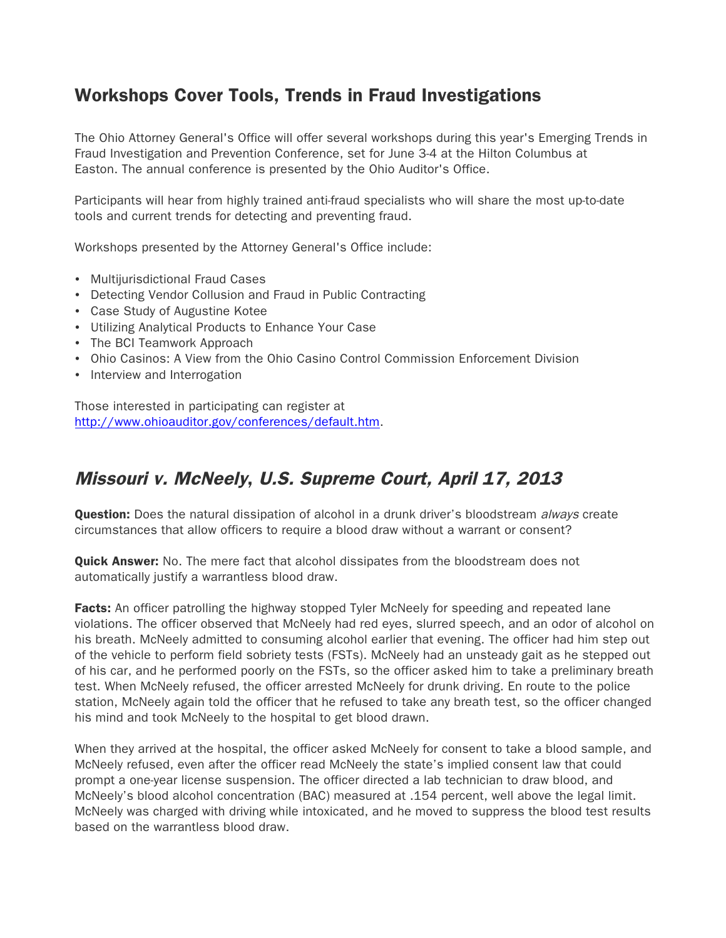### Workshops Cover Tools, Trends in Fraud Investigations

The Ohio Attorney General's Office will offer several workshops during this year's Emerging Trends in Fraud Investigation and Prevention Conference, set for June 3-4 at the Hilton Columbus at Easton. The annual conference is presented by the Ohio Auditor's Office.

Participants will hear from highly trained anti-fraud specialists who will share the most up-to-date tools and current trends for detecting and preventing fraud.

Workshops presented by the Attorney General's Office include:

- Multijurisdictional Fraud Cases
- Detecting Vendor Collusion and Fraud in Public Contracting
- Case Study of Augustine Kotee
- Utilizing Analytical Products to Enhance Your Case
- The BCI Teamwork Approach
- Ohio Casinos: A View from the Ohio Casino Control Commission Enforcement Division
- Interview and Interrogation

Those interested in participating can register at http://www.ohioauditor.gov/conferences/default.htm.

#### Missouri v. McNeely, U.S. Supreme Court, April 17, 2013

**Question:** Does the natural dissipation of alcohol in a drunk driver's bloodstream always create circumstances that allow officers to require a blood draw without a warrant or consent?

**Quick Answer:** No. The mere fact that alcohol dissipates from the bloodstream does not automatically justify a warrantless blood draw.

**Facts:** An officer patrolling the highway stopped Tyler McNeely for speeding and repeated lane violations. The officer observed that McNeely had red eyes, slurred speech, and an odor of alcohol on his breath. McNeely admitted to consuming alcohol earlier that evening. The officer had him step out of the vehicle to perform field sobriety tests (FSTs). McNeely had an unsteady gait as he stepped out of his car, and he performed poorly on the FSTs, so the officer asked him to take a preliminary breath test. When McNeely refused, the officer arrested McNeely for drunk driving. En route to the police station, McNeely again told the officer that he refused to take any breath test, so the officer changed his mind and took McNeely to the hospital to get blood drawn.

When they arrived at the hospital, the officer asked McNeely for consent to take a blood sample, and McNeely refused, even after the officer read McNeely the state's implied consent law that could prompt a one-year license suspension. The officer directed a lab technician to draw blood, and McNeely's blood alcohol concentration (BAC) measured at .154 percent, well above the legal limit. McNeely was charged with driving while intoxicated, and he moved to suppress the blood test results based on the warrantless blood draw.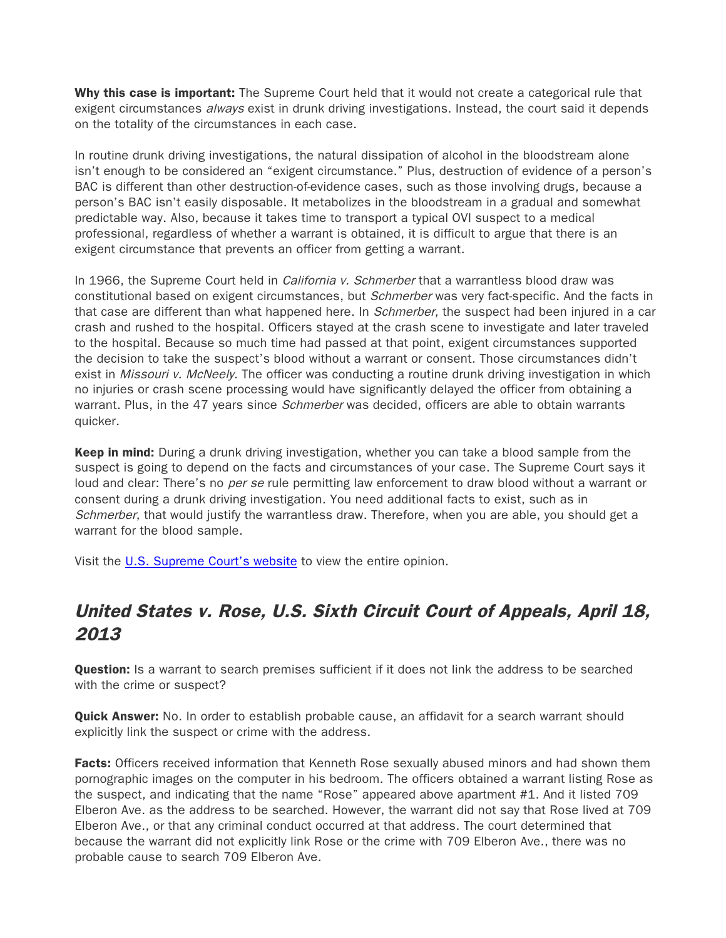Why this case is important: The Supreme Court held that it would not create a categorical rule that exigent circumstances *always* exist in drunk driving investigations. Instead, the court said it depends on the totality of the circumstances in each case.

In routine drunk driving investigations, the natural dissipation of alcohol in the bloodstream alone isn't enough to be considered an "exigent circumstance." Plus, destruction of evidence of a person's BAC is different than other destruction-of-evidence cases, such as those involving drugs, because a person's BAC isn't easily disposable. It metabolizes in the bloodstream in a gradual and somewhat predictable way. Also, because it takes time to transport a typical OVI suspect to a medical professional, regardless of whether a warrant is obtained, it is difficult to argue that there is an exigent circumstance that prevents an officer from getting a warrant.

In 1966, the Supreme Court held in *California v. Schmerber* that a warrantless blood draw was constitutional based on exigent circumstances, but *Schmerber* was very fact-specific. And the facts in that case are different than what happened here. In *Schmerber*, the suspect had been injured in a car crash and rushed to the hospital. Officers stayed at the crash scene to investigate and later traveled to the hospital. Because so much time had passed at that point, exigent circumstances supported the decision to take the suspect's blood without a warrant or consent. Those circumstances didn't exist in Missouri v. McNeely. The officer was conducting a routine drunk driving investigation in which no injuries or crash scene processing would have significantly delayed the officer from obtaining a warrant. Plus, in the 47 years since *Schmerber* was decided, officers are able to obtain warrants quicker.

**Keep in mind:** During a drunk driving investigation, whether you can take a blood sample from the suspect is going to depend on the facts and circumstances of your case. The Supreme Court says it loud and clear: There's no *per se* rule permitting law enforcement to draw blood without a warrant or consent during a drunk driving investigation. You need additional facts to exist, such as in Schmerber, that would justify the warrantless draw. Therefore, when you are able, you should get a warrant for the blood sample.

Visit the [U.S. Supreme Court's website](http://www.supremecourt.gov/opinions/12pdf/11-1425_cb8e.pdf) to view the entire opinion.

# United States v. Rose, U.S. Sixth Circuit Court of Appeals, April 18, 2013

**Question:** Is a warrant to search premises sufficient if it does not link the address to be searched with the crime or suspect?

**Quick Answer:** No. In order to establish probable cause, an affidavit for a search warrant should explicitly link the suspect or crime with the address.

Facts: Officers received information that Kenneth Rose sexually abused minors and had shown them pornographic images on the computer in his bedroom. The officers obtained a warrant listing Rose as the suspect, and indicating that the name "Rose" appeared above apartment #1. And it listed 709 Elberon Ave. as the address to be searched. However, the warrant did not say that Rose lived at 709 Elberon Ave., or that any criminal conduct occurred at that address. The court determined that because the warrant did not explicitly link Rose or the crime with 709 Elberon Ave., there was no probable cause to search 709 Elberon Ave.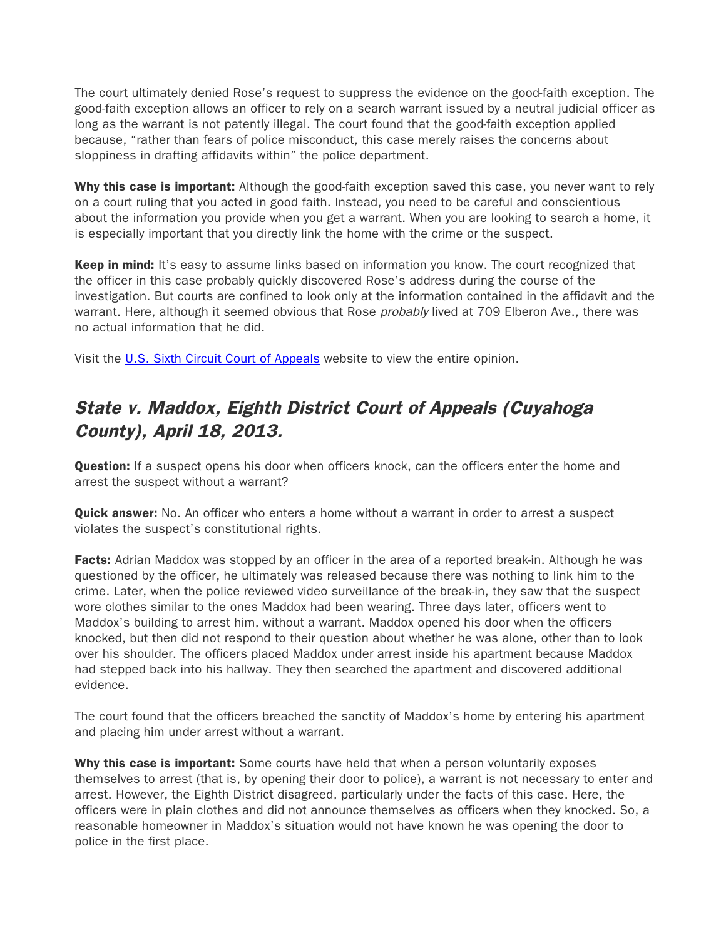The court ultimately denied Rose's request to suppress the evidence on the good-faith exception. The good-faith exception allows an officer to rely on a search warrant issued by a neutral judicial officer as long as the warrant is not patently illegal. The court found that the good-faith exception applied because, "rather than fears of police misconduct, this case merely raises the concerns about sloppiness in drafting affidavits within" the police department.

Why this case is important: Although the good-faith exception saved this case, you never want to rely on a court ruling that you acted in good faith. Instead, you need to be careful and conscientious about the information you provide when you get a warrant. When you are looking to search a home, it is especially important that you directly link the home with the crime or the suspect.

Keep in mind: It's easy to assume links based on information you know. The court recognized that the officer in this case probably quickly discovered Rose's address during the course of the investigation. But courts are confined to look only at the information contained in the affidavit and the warrant. Here, although it seemed obvious that Rose probably lived at 709 Elberon Ave., there was no actual information that he did.

Visit the [U.S. Sixth Circuit](http://www.ca6.uscourts.gov/opinions.pdf/13a0108p-06.pdf) Court of Appeals website to view the entire opinion.

## State v. Maddox, Eighth District Court of Appeals (Cuyahoga County), April 18, 2013.

**Question:** If a suspect opens his door when officers knock, can the officers enter the home and arrest the suspect without a warrant?

**Quick answer:** No. An officer who enters a home without a warrant in order to arrest a suspect violates the suspect's constitutional rights.

Facts: Adrian Maddox was stopped by an officer in the area of a reported break-in. Although he was questioned by the officer, he ultimately was released because there was nothing to link him to the crime. Later, when the police reviewed video surveillance of the break-in, they saw that the suspect wore clothes similar to the ones Maddox had been wearing. Three days later, officers went to Maddox's building to arrest him, without a warrant. Maddox opened his door when the officers knocked, but then did not respond to their question about whether he was alone, other than to look over his shoulder. The officers placed Maddox under arrest inside his apartment because Maddox had stepped back into his hallway. They then searched the apartment and discovered additional evidence.

The court found that the officers breached the sanctity of Maddox's home by entering his apartment and placing him under arrest without a warrant.

Why this case is important: Some courts have held that when a person voluntarily exposes themselves to arrest (that is, by opening their door to police), a warrant is not necessary to enter and arrest. However, the Eighth District disagreed, particularly under the facts of this case. Here, the officers were in plain clothes and did not announce themselves as officers when they knocked. So, a reasonable homeowner in Maddox's situation would not have known he was opening the door to police in the first place.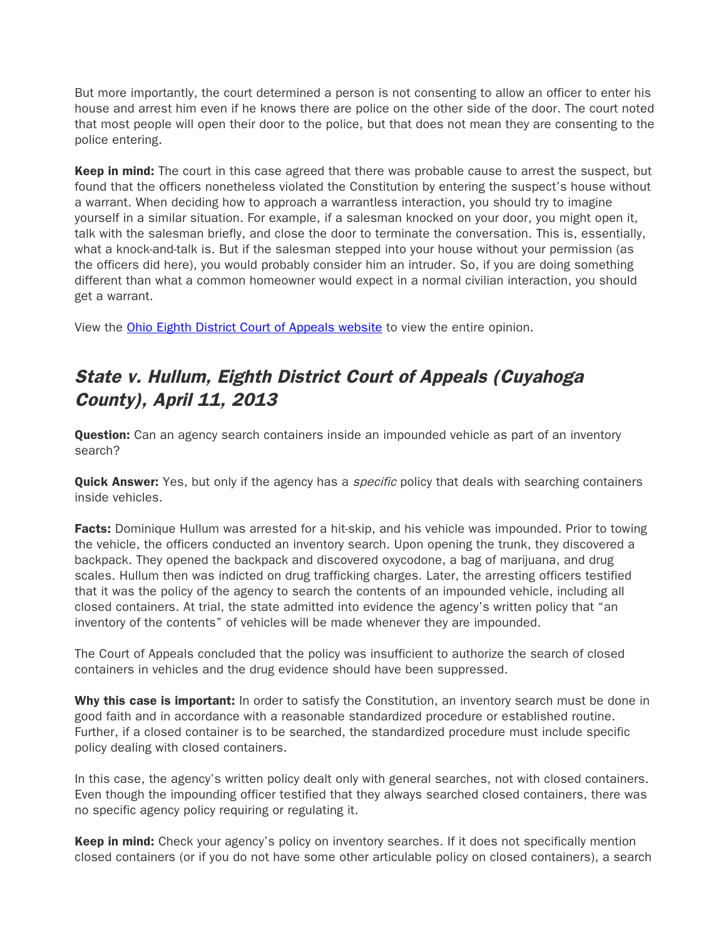But more importantly, the court determined a person is not consenting to allow an officer to enter his house and arrest him even if he knows there are police on the other side of the door. The court noted that most people will open their door to the police, but that does not mean they are consenting to the police entering.

Keep in mind: The court in this case agreed that there was probable cause to arrest the suspect, but found that the officers nonetheless violated the Constitution by entering the suspect's house without a warrant. When deciding how to approach a warrantless interaction, you should try to imagine yourself in a similar situation. For example, if a salesman knocked on your door, you might open it, talk with the salesman briefly, and close the door to terminate the conversation. This is, essentially, what a knock-and-talk is. But if the salesman stepped into your house without your permission (as the officers did here), you would probably consider him an intruder. So, if you are doing something different than what a common homeowner would expect in a normal civilian interaction, you should get a warrant.

View the [Ohio Eighth District Court of Appeals website](http://www.sconet.state.oh.us/rod/docs/pdf/8/2013/2013-ohio-1544.pdf) to view the entire opinion.

# State v. Hullum, Eighth District Court of Appeals (Cuyahoga County), April 11, 2013

**Question:** Can an agency search containers inside an impounded vehicle as part of an inventory search?

**Quick Answer:** Yes, but only if the agency has a *specific* policy that deals with searching containers inside vehicles.

**Facts:** Dominique Hullum was arrested for a hit-skip, and his vehicle was impounded. Prior to towing the vehicle, the officers conducted an inventory search. Upon opening the trunk, they discovered a backpack. They opened the backpack and discovered oxycodone, a bag of marijuana, and drug scales. Hullum then was indicted on drug trafficking charges. Later, the arresting officers testified that it was the policy of the agency to search the contents of an impounded vehicle, including all closed containers. At trial, the state admitted into evidence the agency's written policy that "an inventory of the contents" of vehicles will be made whenever they are impounded.

The Court of Appeals concluded that the policy was insufficient to authorize the search of closed containers in vehicles and the drug evidence should have been suppressed.

Why this case is important: In order to satisfy the Constitution, an inventory search must be done in good faith and in accordance with a reasonable standardized procedure or established routine. Further, if a closed container is to be searched, the standardized procedure must include specific policy dealing with closed containers.

In this case, the agency's written policy dealt only with general searches, not with closed containers. Even though the impounding officer testified that they always searched closed containers, there was no specific agency policy requiring or regulating it.

**Keep in mind:** Check your agency's policy on inventory searches. If it does not specifically mention closed containers (or if you do not have some other articulable policy on closed containers), a search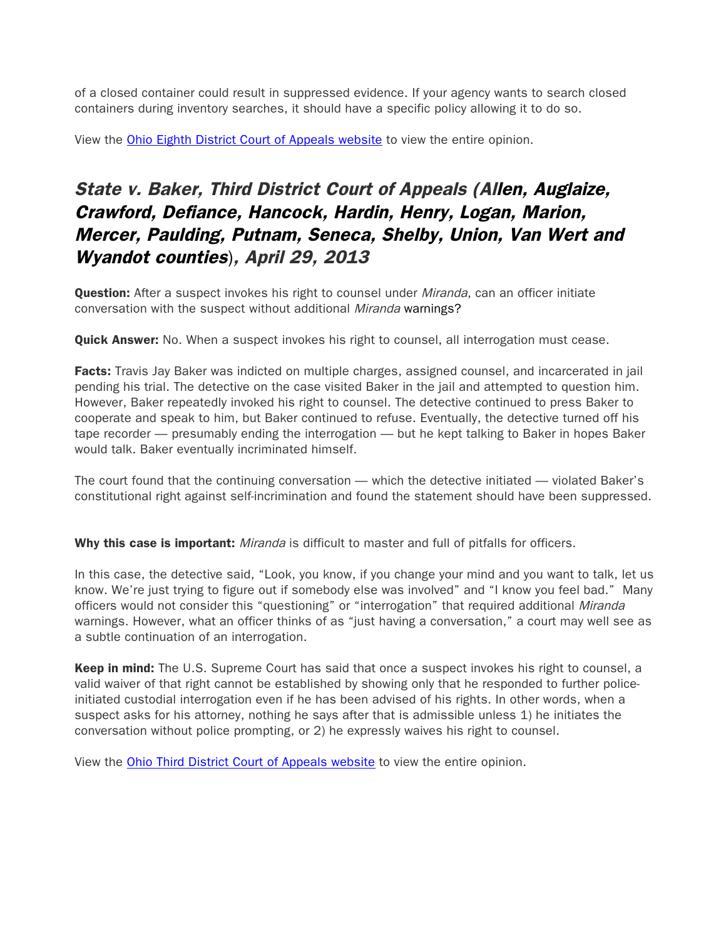of a closed container could result in suppressed evidence. If your agency wants to search closed containers during inventory searches, it should have a specific policy allowing it to do so.

View the [Ohio Eighth District Court of Appeals website](http://www.sconet.state.oh.us/rod/docs/pdf/8/2013/2013-ohio-1448.pdf) to view the entire opinion.

# State v. Baker, Third District Court of Appeals (Allen, Auglaize, Crawford, Defiance, Hancock, Hardin, Henry, Logan, Marion, Mercer, Paulding, Putnam, Seneca, Shelby, Union, Van Wert and Wyandot counties), April 29, 2013

Question: After a suspect invokes his right to counsel under Miranda, can an officer initiate conversation with the suspect without additional Miranda warnings?

**Quick Answer:** No. When a suspect invokes his right to counsel, all interrogation must cease.

Facts: Travis Jay Baker was indicted on multiple charges, assigned counsel, and incarcerated in jail pending his trial. The detective on the case visited Baker in the jail and attempted to question him. However, Baker repeatedly invoked his right to counsel. The detective continued to press Baker to cooperate and speak to him, but Baker continued to refuse. Eventually, the detective turned off his tape recorder — presumably ending the interrogation — but he kept talking to Baker in hopes Baker would talk. Baker eventually incriminated himself.

The court found that the continuing conversation — which the detective initiated — violated Baker's constitutional right against self-incrimination and found the statement should have been suppressed.

Why this case is important: *Miranda* is difficult to master and full of pitfalls for officers.

In this case, the detective said, "Look, you know, if you change your mind and you want to talk, let us know. We're just trying to figure out if somebody else was involved" and "I know you feel bad." Many officers would not consider this "questioning" or "interrogation" that required additional Miranda warnings. However, what an officer thinks of as "just having a conversation," a court may well see as a subtle continuation of an interrogation.

**Keep in mind:** The U.S. Supreme Court has said that once a suspect invokes his right to counsel, a valid waiver of that right cannot be established by showing only that he responded to further policeinitiated custodial interrogation even if he has been advised of his rights. In other words, when a suspect asks for his attorney, nothing he says after that is admissible unless 1) he initiates the conversation without police prompting, or 2) he expressly waives his right to counsel.

View the [Ohio Third District Court of Appeals website](http://www.sconet.state.oh.us/rod/docs/pdf/3/2013/2013-ohio-1737.pdf) to view the entire opinion.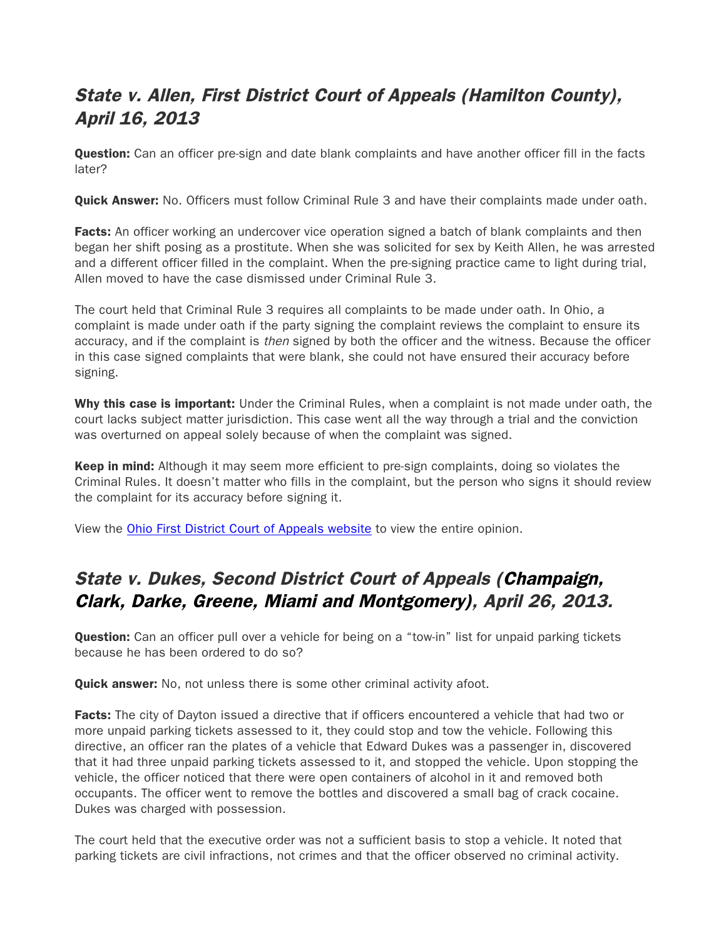# State v. Allen, First District Court of Appeals (Hamilton County), April 16, 2013

**Question:** Can an officer pre-sign and date blank complaints and have another officer fill in the facts later?

**Quick Answer:** No. Officers must follow Criminal Rule 3 and have their complaints made under oath.

Facts: An officer working an undercover vice operation signed a batch of blank complaints and then began her shift posing as a prostitute. When she was solicited for sex by Keith Allen, he was arrested and a different officer filled in the complaint. When the pre-signing practice came to light during trial, Allen moved to have the case dismissed under Criminal Rule 3.

The court held that Criminal Rule 3 requires all complaints to be made under oath. In Ohio, a complaint is made under oath if the party signing the complaint reviews the complaint to ensure its accuracy, and if the complaint is then signed by both the officer and the witness. Because the officer in this case signed complaints that were blank, she could not have ensured their accuracy before signing.

Why this case is important: Under the Criminal Rules, when a complaint is not made under oath, the court lacks subject matter jurisdiction. This case went all the way through a trial and the conviction was overturned on appeal solely because of when the complaint was signed.

**Keep in mind:** Although it may seem more efficient to pre-sign complaints, doing so violates the Criminal Rules. It doesn't matter who fills in the complaint, but the person who signs it should review the complaint for its accuracy before signing it.

View the [Ohio First District Court of Appeals website](http://www.sconet.state.oh.us/rod/docs/pdf/1/2013/2013-ohio-1673.pdf) to view the entire opinion.

### State v. Dukes, Second District Court of Appeals (Champaign, Clark, Darke, Greene, Miami and Montgomery), April 26, 2013.

**Question:** Can an officer pull over a vehicle for being on a "tow-in" list for unpaid parking tickets because he has been ordered to do so?

**Quick answer:** No, not unless there is some other criminal activity afoot.

Facts: The city of Dayton issued a directive that if officers encountered a vehicle that had two or more unpaid parking tickets assessed to it, they could stop and tow the vehicle. Following this directive, an officer ran the plates of a vehicle that Edward Dukes was a passenger in, discovered that it had three unpaid parking tickets assessed to it, and stopped the vehicle. Upon stopping the vehicle, the officer noticed that there were open containers of alcohol in it and removed both occupants. The officer went to remove the bottles and discovered a small bag of crack cocaine. Dukes was charged with possession.

The court held that the executive order was not a sufficient basis to stop a vehicle. It noted that parking tickets are civil infractions, not crimes and that the officer observed no criminal activity.